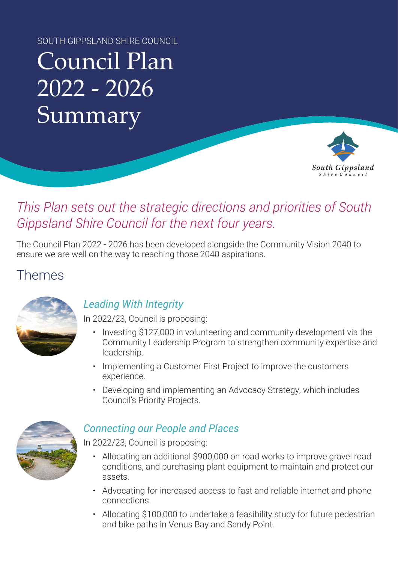SOUTH GIPPSLAND SHIRE COUNCIL

# Council Plan 2022 - 2026 Summary



## *This Plan sets out the strategic directions and priorities of South Gippsland Shire Council for the next four years.*

The Council Plan 2022 - 2026 has been developed alongside the Community Vision 2040 to ensure we are well on the way to reaching those 2040 aspirations.

## Themes



#### *Leading With Integrity*

In 2022/23, Council is proposing:

- Investing \$127,000 in volunteering and community development via the Community Leadership Program to strengthen community expertise and leadership.
- Implementing a Customer First Project to improve the customers experience.
- Developing and implementing an Advocacy Strategy, which includes Council's Priority Projects.



#### *Connecting our People and Places*

In 2022/23, Council is proposing:

- Allocating an additional \$900,000 on road works to improve gravel road conditions, and purchasing plant equipment to maintain and protect our assets.
- Advocating for increased access to fast and reliable internet and phone connections.
- Allocating \$100,000 to undertake a feasibility study for future pedestrian and bike paths in Venus Bay and Sandy Point.